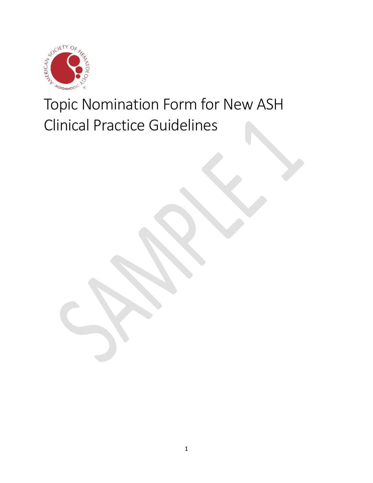

Topic Nomination Form for New ASH Clinical Practice Guidelines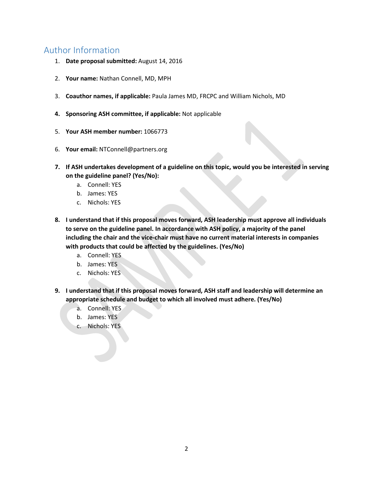# Author Information

- 1. **Date proposal submitted:** August 14, 2016
- 2. **Your name:** Nathan Connell, MD, MPH
- 3. **Coauthor names, if applicable:** Paula James MD, FRCPC and William Nichols, MD
- **4. Sponsoring ASH committee, if applicable:** Not applicable
- 5. **Your ASH member number:** 1066773
- 6. **Your email:** NTConnell@partners.org
- **7. If ASH undertakes development of a guideline on this topic, would you be interested in serving on the guideline panel? (Yes/No):**
	- a. Connell: YES
	- b. James: YES
	- c. Nichols: YES
- **8. I understand that if this proposal moves forward, ASH leadership must approve all individuals to serve on the guideline panel. In accordance with ASH policy, a majority of the panel including the chair and the vice-chair must have no current material interests in companies with products that could be affected by the guidelines. (Yes/No)**
	- a. Connell: YES
	- b. James: YES
	- c. Nichols: YES
- **9. I understand that if this proposal moves forward, ASH staff and leadership will determine an appropriate schedule and budget to which all involved must adhere. (Yes/No)**
	- a. Connell: YES
	- b. James: YES
	- c. Nichols: YES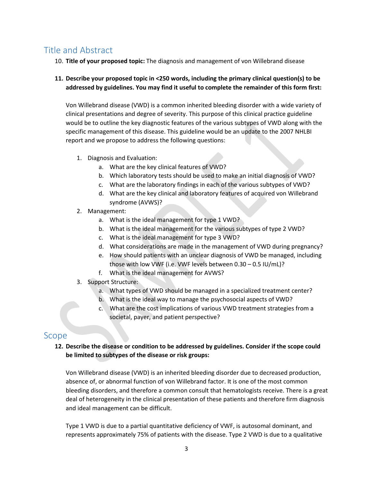# Title and Abstract

10. **Title of your proposed topic:** The diagnosis and management of von Willebrand disease

## **11. Describe your proposed topic in <250 words, including the primary clinical question(s) to be addressed by guidelines. You may find it useful to complete the remainder of this form first:**

Von Willebrand disease (VWD) is a common inherited bleeding disorder with a wide variety of clinical presentations and degree of severity. This purpose of this clinical practice guideline would be to outline the key diagnostic features of the various subtypes of VWD along with the specific management of this disease. This guideline would be an update to the 2007 NHLBI report and we propose to address the following questions:

- 1. Diagnosis and Evaluation:
	- a. What are the key clinical features of VWD?
	- b. Which laboratory tests should be used to make an initial diagnosis of VWD?
	- c. What are the laboratory findings in each of the various subtypes of VWD?
	- d. What are the key clinical and laboratory features of acquired von Willebrand syndrome (AVWS)?
- 2. Management:
	- a. What is the ideal management for type 1 VWD?
	- b. What is the ideal management for the various subtypes of type 2 VWD?
	- c. What is the ideal management for type 3 VWD?
	- d. What considerations are made in the management of VWD during pregnancy?
	- e. How should patients with an unclear diagnosis of VWD be managed, including those with low VWF (i.e. VWF levels between 0.30 – 0.5 IU/mL)?
	- f. What is the ideal management for AVWS?
- 3. Support Structure:
	- a. What types of VWD should be managed in a specialized treatment center?
	- b. What is the ideal way to manage the psychosocial aspects of VWD?
	- c. What are the cost implications of various VWD treatment strategies from a societal, payer, and patient perspective?

## Scope

## **12. Describe the disease or condition to be addressed by guidelines. Consider if the scope could be limited to subtypes of the disease or risk groups:**

Von Willebrand disease (VWD) is an inherited bleeding disorder due to decreased production, absence of, or abnormal function of von Willebrand factor. It is one of the most common bleeding disorders, and therefore a common consult that hematologists receive. There is a great deal of heterogeneity in the clinical presentation of these patients and therefore firm diagnosis and ideal management can be difficult.

Type 1 VWD is due to a partial quantitative deficiency of VWF, is autosomal dominant, and represents approximately 75% of patients with the disease. Type 2 VWD is due to a qualitative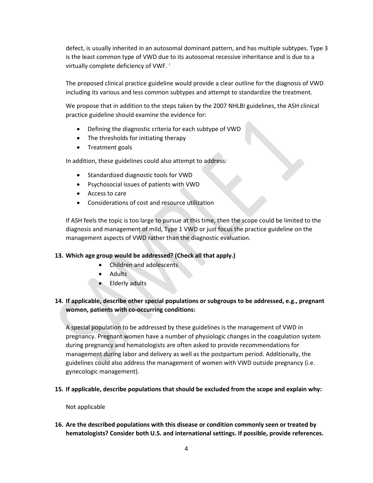defect, is usually inherited in an autosomal dominant pattern, and has multiple subtypes. Type 3 is the least common type of VWD due to its autosomal recessive inheritance and is due to a virtually complete deficiency of VWF.

The proposed clinical practice guideline would provide a clear outline for the diagnosis of VWD including its various and less common subtypes and attempt to standardize the treatment.

We propose that in addition to the steps taken by the 2007 NHLBI guidelines, the ASH clinical practice guideline should examine the evidence for:

- Defining the diagnostic criteria for each subtype of VWD
- The thresholds for initiating therapy
- Treatment goals

In addition, these guidelines could also attempt to address:

- Standardized diagnostic tools for VWD
- Psychosocial issues of patients with VWD
- Access to care
- Considerations of cost and resource utilization

If ASH feels the topic is too large to pursue at this time, then the scope could be limited to the diagnosis and management of mild, Type 1 VWD or just focus the practice guideline on the management aspects of VWD rather than the diagnostic evaluation.

## **13. Which age group would be addressed? (Check all that apply.)**

- Children and adolescents
- Adults
- Elderly adults

## **14. If applicable, describe other special populations or subgroups to be addressed, e.g., pregnant women, patients with co-occurring conditions:**

A special population to be addressed by these guidelines is the management of VWD in pregnancy. Pregnant women have a number of physiologic changes in the coagulation system during pregnancy and hematologists are often asked to provide recommendations for management during labor and delivery as well as the postpartum period. Additionally, the guidelines could also address the management of women with VWD outside pregnancy (i.e. gynecologic management).

**15. If applicable, describe populations that should be excluded from the scope and explain why:**

#### Not applicable

**16. Are the described populations with this disease or condition commonly seen or treated by hematologists? Consider both U.S. and international settings. If possible, provide references.**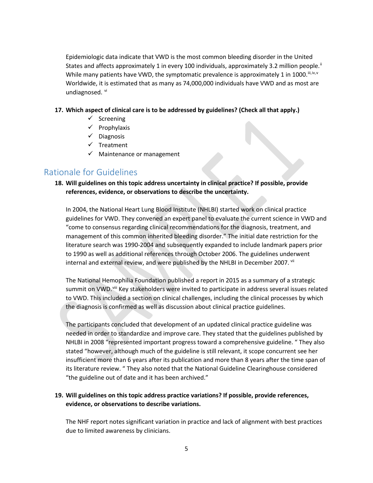Epidemiologic data indicate that VWD is the most common bleeding disorder in the United States and affects approximately 1 in every 100 individuals, approximately 3.2 million people.<sup>[ii](#page-7-1)</sup> While many patients ha[v](#page-7-4)e VWD, the symptomatic prevalence is approximately 1 in 1000.  $\mathbb{I}^{(i)}$ ,  $\mathbb{I}^{(v)}$ Worldwide, it is estimated that as many as 74,000,000 individuals have VWD and as most are undiagnosed. [vi](#page-7-5)

#### **17. Which aspect of clinical care is to be addressed by guidelines? (Check all that apply.)**

- $\checkmark$  Screening
- $\checkmark$  Prophylaxis
- $\checkmark$  Diagnosis
- $\checkmark$  Treatment
- $\checkmark$  Maintenance or management

## Rationale for Guidelines

## **18. Will guidelines on this topic address uncertainty in clinical practice? If possible, provide references, evidence, or observations to describe the uncertainty.**

In 2004, the National Heart Lung Blood Institute (NHLBI) started work on clinical practice guidelines for VWD. They convened an expert panel to evaluate the current science in VWD and "come to consensus regarding clinical recommendations for the diagnosis, treatment, and management of this common inherited bleeding disorder." The initial date restriction for the literature search was 1990-2004 and subsequently expanded to include landmark papers prior to 1990 as well as additional references through October 2006. The guidelines underwent internal and external review, and were published by the NHLBI in December 2007. Vii

The National Hemophilia Foundation published a report in 2015 as a summary of a strategic summit on VWD.<sup>[viii](#page-7-7)</sup> Key stakeholders were invited to participate in address several issues related to VWD. This included a section on clinical challenges, including the clinical processes by which the diagnosis is confirmed as well as discussion about clinical practice guidelines.

The participants concluded that development of an updated clinical practice guideline was needed in order to standardize and improve care. They stated that the guidelines published by NHLBI in 2008 "represented important progress toward a comprehensive guideline. " They also stated "however, although much of the guideline is still relevant, it scope concurrent see her insufficient more than 6 years after its publication and more than 8 years after the time span of its literature review. " They also noted that the National Guideline Clearinghouse considered "the guideline out of date and it has been archived."

## **19. Will guidelines on this topic address practice variations? If possible, provide references, evidence, or observations to describe variations.**

The NHF report notes significant variation in practice and lack of alignment with best practices due to limited awareness by clinicians.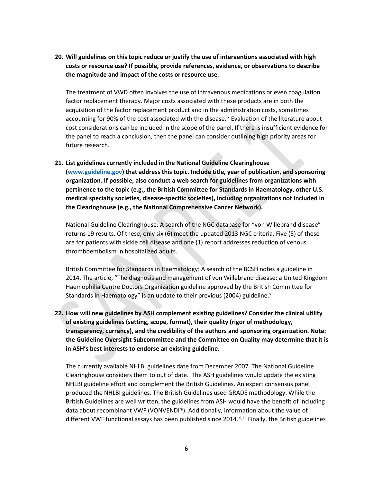**20. Will guidelines on this topic reduce or justify the use of interventions associated with high costs or resource use? If possible, provide references, evidence, or observations to describe the magnitude and impact of the costs or resource use.**

The treatment of VWD often involves the use of intravenous medications or even coagulation factor replacement therapy. Major costs associated with these products are in both the acquisition of the factor replacement product and in the administration costs, sometimes accounting for 90% of the cost associated with the disease.<sup>[ix](#page-7-8)</sup> Evaluation of the literature about cost considerations can be included in the scope of the panel. If there is insufficient evidence for the panel to reach a conclusion, then the panel can consider outlining high priority areas for future research.

**21. List guidelines currently included in the National Guideline Clearinghouse [\(www.guideline.gov\)](http://www.guideline.gov/) that address this topic. Include title, year of publication, and sponsoring organization. If possible, also conduct a web search for guidelines from organizations with pertinence to the topic (e.g., the British Committee for Standards in Haematology, other U.S. medical specialty societies, disease-specific societies), including organizations not included in the Clearinghouse (e.g., the National Comprehensive Cancer Network).**

National Guideline Clearinghouse: A search of the NGC database for "von Willebrand disease" returns 19 results. Of these, only six (6) meet the updated 2013 NGC criteria. Five (5) of these are for patients with sickle cell disease and one (1) report addresses reduction of venous thromboembolism in hospitalized adults.

British Committee for Standards in Haematology: A search of the BCSH notes a guideline in 2014. The article, "The diagnosis and management of von Willebrand disease: a United Kingdom Haemophilia Centre Doctors Organization guideline approved by the British Committee for Standards in Haematology" is an update to their previous (2004) guideline.<sup>[x](#page-7-9)</sup>

**22. How will new guidelines by ASH complement existing guidelines? Consider the clinical utility of existing guidelines (setting, scope, format), their quality (rigor of methodology, transparency, currency), and the credibility of the authors and sponsoring organization. Note: the Guideline Oversight Subcommittee and the Committee on Quality may determine that it is in ASH's best interests to endorse an existing guideline.**

The currently available NHLBI guidelines date from December 2007. The National Guideline Clearinghouse considers them to out of date. The ASH guidelines would update the existing NHLBI guideline effort and complement the British Guidelines. An expert consensus panel produced the NHLBI guidelines. The British Guidelines used GRADE methodology. While the British Guidelines are well written, the guidelines from ASH would have the benefit of including data about recombinant VWF (VONVENDI®). Additionally, information about the value of different VWF functional assays has been published since 2014. [xi](#page-7-10), [xii](#page-7-11) Finally, the British guidelines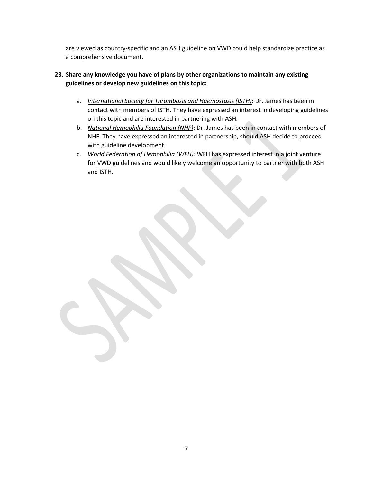are viewed as country-specific and an ASH guideline on VWD could help standardize practice as a comprehensive document.

## **23. Share any knowledge you have of plans by other organizations to maintain any existing guidelines or develop new guidelines on this topic:**

- a. *International Society for Thrombosis and Haemostasis (ISTH)*: Dr. James has been in contact with members of ISTH. They have expressed an interest in developing guidelines on this topic and are interested in partnering with ASH.
- b. *National Hemophilia Foundation (NHF)*: Dr. James has been in contact with members of NHF. They have expressed an interested in partnership, should ASH decide to proceed with guideline development.
- c. *World Federation of Hemophilia (WFH):* WFH has expressed interest in a joint venture for VWD guidelines and would likely welcome an opportunity to partner with both ASH and ISTH.